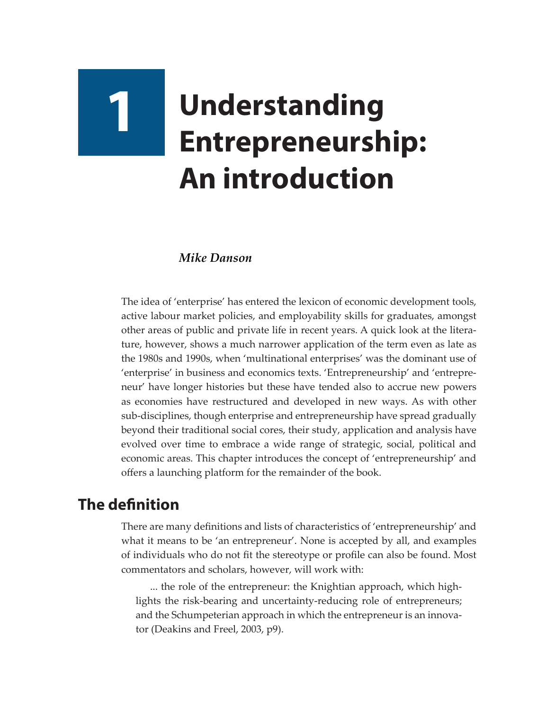# **1 Understanding Entrepreneurship: An introduction**

#### *Mike Danson*

The idea of 'enterprise' has entered the lexicon of economic development tools, active labour market policies, and employability skills for graduates, amongst other areas of public and private life in recent years. A quick look at the literature, however, shows a much narrower application of the term even as late as the 1980s and 1990s, when 'multinational enterprises' was the dominant use of 'enterprise' in business and economics texts. 'Entrepreneurship' and 'entrepreneur' have longer histories but these have tended also to accrue new powers as economies have restructured and developed in new ways. As with other sub-disciplines, though enterprise and entrepreneurship have spread gradually beyond their traditional social cores, their study, application and analysis have evolved over time to embrace a wide range of strategic, social, political and economic areas. This chapter introduces the concept of 'entrepreneurship' and offers a launching platform for the remainder of the book.

## **The definition**

There are many definitions and lists of characteristics of 'entrepreneurship' and what it means to be 'an entrepreneur'. None is accepted by all, and examples of individuals who do not fit the stereotype or profile can also be found. Most commentators and scholars, however, will work with:

... the role of the entrepreneur: the Knightian approach, which highlights the risk-bearing and uncertainty-reducing role of entrepreneurs; and the Schumpeterian approach in which the entrepreneur is an innovator (Deakins and Freel, 2003, p9).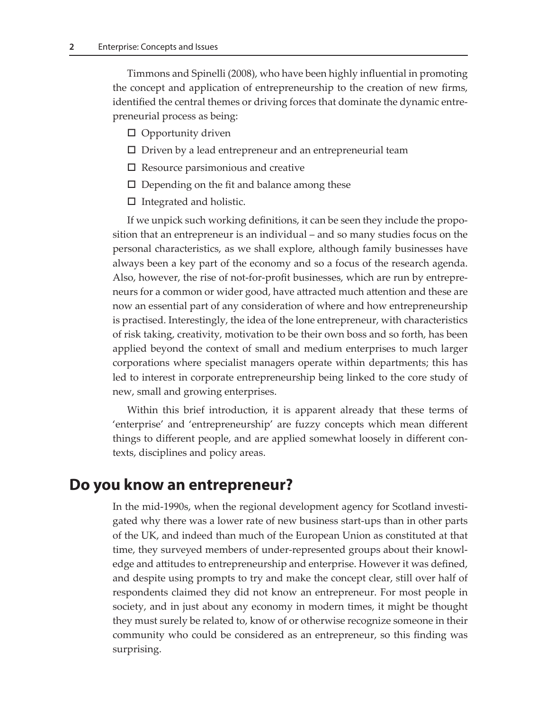Timmons and Spinelli (2008), who have been highly influential in promoting the concept and application of entrepreneurship to the creation of new firms, identified the central themes or driving forces that dominate the dynamic entrepreneurial process as being:

- $\Box$  Opportunity driven
- $\square$  Driven by a lead entrepreneur and an entrepreneurial team
- $\square$  Resource parsimonious and creative
- $\square$  Depending on the fit and balance among these
- $\Box$  Integrated and holistic.

If we unpick such working definitions, it can be seen they include the proposition that an entrepreneur is an individual – and so many studies focus on the personal characteristics, as we shall explore, although family businesses have always been a key part of the economy and so a focus of the research agenda. Also, however, the rise of not-for-profit businesses, which are run by entrepreneurs for a common or wider good, have attracted much attention and these are now an essential part of any consideration of where and how entrepreneurship is practised. Interestingly, the idea of the lone entrepreneur, with characteristics of risk taking, creativity, motivation to be their own boss and so forth, has been applied beyond the context of small and medium enterprises to much larger corporations where specialist managers operate within departments; this has led to interest in corporate entrepreneurship being linked to the core study of new, small and growing enterprises.

Within this brief introduction, it is apparent already that these terms of 'enterprise' and 'entrepreneurship' are fuzzy concepts which mean different things to different people, and are applied somewhat loosely in different contexts, disciplines and policy areas.

#### **Do you know an entrepreneur?**

In the mid-1990s, when the regional development agency for Scotland investigated why there was a lower rate of new business start-ups than in other parts of the UK, and indeed than much of the European Union as constituted at that time, they surveyed members of under-represented groups about their knowledge and attitudes to entrepreneurship and enterprise. However it was defined, and despite using prompts to try and make the concept clear, still over half of respondents claimed they did not know an entrepreneur. For most people in society, and in just about any economy in modern times, it might be thought they must surely be related to, know of or otherwise recognize someone in their community who could be considered as an entrepreneur, so this finding was surprising.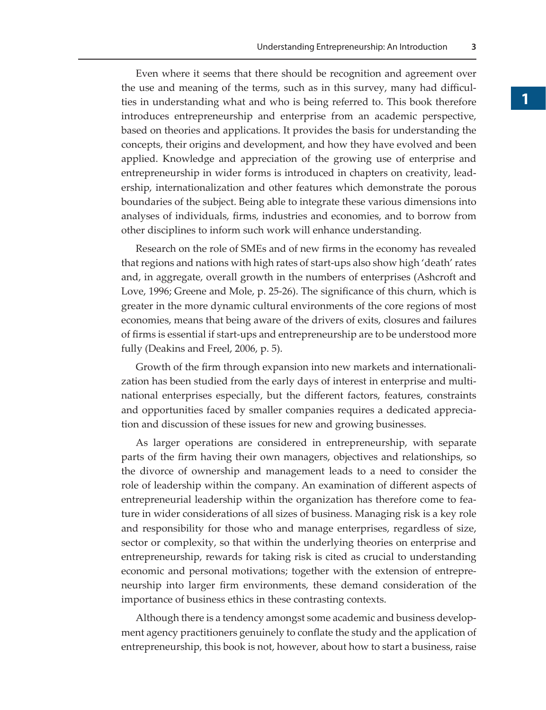Even where it seems that there should be recognition and agreement over the use and meaning of the terms, such as in this survey, many had difficulties in understanding what and who is being referred to. This book therefore introduces entrepreneurship and enterprise from an academic perspective, based on theories and applications. It provides the basis for understanding the concepts, their origins and development, and how they have evolved and been applied. Knowledge and appreciation of the growing use of enterprise and entrepreneurship in wider forms is introduced in chapters on creativity, leadership, internationalization and other features which demonstrate the porous boundaries of the subject. Being able to integrate these various dimensions into analyses of individuals, firms, industries and economies, and to borrow from other disciplines to inform such work will enhance understanding.

Research on the role of SMEs and of new firms in the economy has revealed that regions and nations with high rates of start-ups also show high 'death' rates and, in aggregate, overall growth in the numbers of enterprises (Ashcroft and Love, 1996; Greene and Mole, p. 25-26). The significance of this churn, which is greater in the more dynamic cultural environments of the core regions of most economies, means that being aware of the drivers of exits, closures and failures of firms is essential if start-ups and entrepreneurship are to be understood more fully (Deakins and Freel, 2006, p. 5).

Growth of the firm through expansion into new markets and internationalization has been studied from the early days of interest in enterprise and multinational enterprises especially, but the different factors, features, constraints and opportunities faced by smaller companies requires a dedicated appreciation and discussion of these issues for new and growing businesses.

As larger operations are considered in entrepreneurship, with separate parts of the firm having their own managers, objectives and relationships, so the divorce of ownership and management leads to a need to consider the role of leadership within the company. An examination of different aspects of entrepreneurial leadership within the organization has therefore come to feature in wider considerations of all sizes of business. Managing risk is a key role and responsibility for those who and manage enterprises, regardless of size, sector or complexity, so that within the underlying theories on enterprise and entrepreneurship, rewards for taking risk is cited as crucial to understanding economic and personal motivations; together with the extension of entrepreneurship into larger firm environments, these demand consideration of the importance of business ethics in these contrasting contexts.

Although there is a tendency amongst some academic and business development agency practitioners genuinely to conflate the study and the application of entrepreneurship, this book is not, however, about how to start a business, raise

**3**